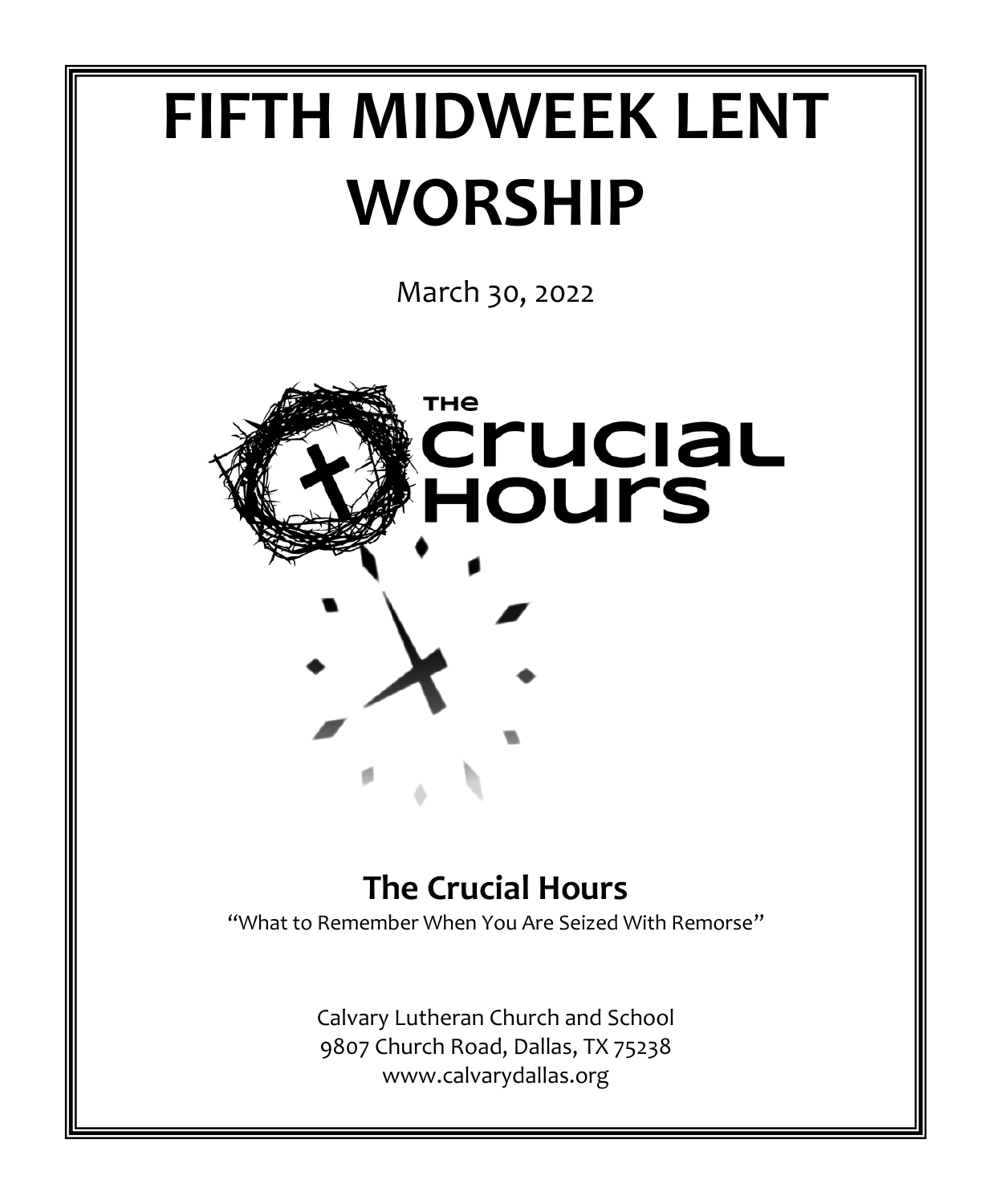# **FIFTH MIDWEEK LENT WORSHIP**

March 30, 2022



# **The Crucial Hours**

"What to Remember When You Are Seized With Remorse"

Calvary Lutheran Church and School 9807 Church Road, Dallas, TX 75238 www.calvarydallas.org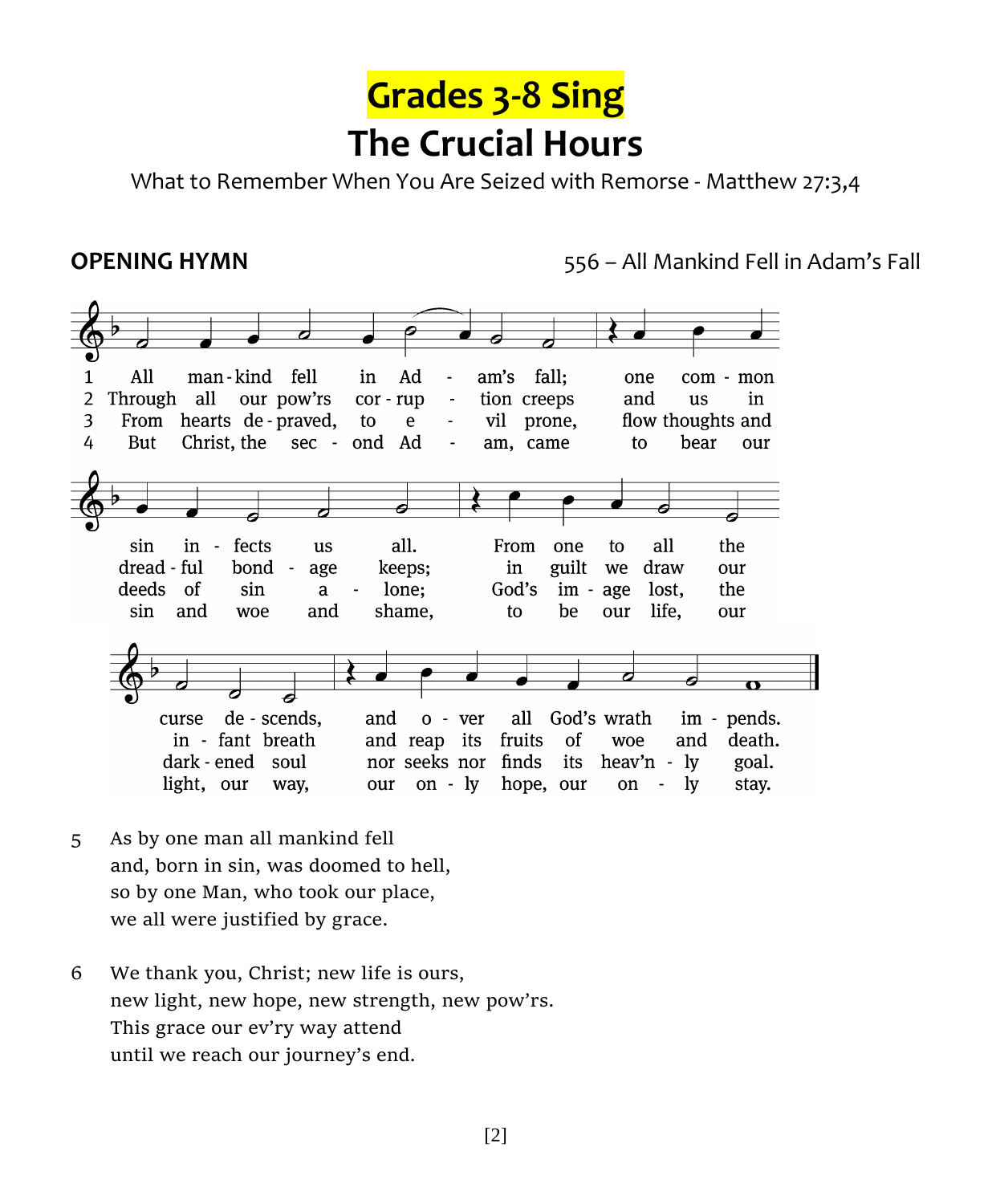

What to Remember When You Are Seized with Remorse - Matthew 27:3,4

**OPENING HYMN** 556 – All Mankind Fell in Adam's Fall



- 5 As by one man all mankind fell and, born in sin, was doomed to hell, so by one Man, who took our place, we all were justified by grace.
- 6 We thank you, Christ; new life is ours, new light, new hope, new strength, new pow'rs. This grace our ev'ry way attend until we reach our journey's end.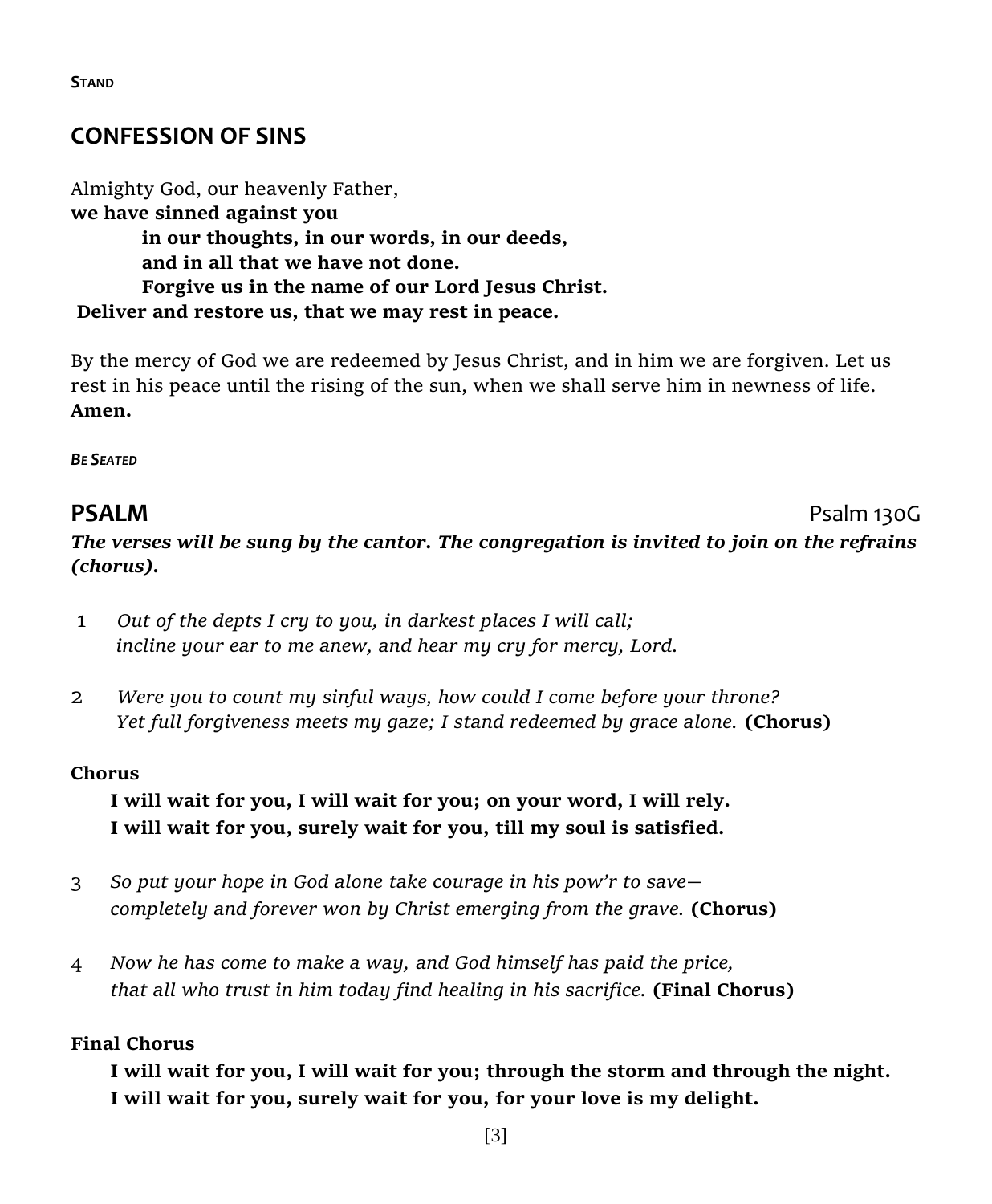## **CONFESSION OF SINS**

Almighty God, our heavenly Father, **we have sinned against you in our thoughts, in our words, in our deeds, and in all that we have not done. Forgive us in the name of our Lord Jesus Christ. Deliver and restore us, that we may rest in peace.** 

By the mercy of God we are redeemed by Jesus Christ, and in him we are forgiven. Let us rest in his peace until the rising of the sun, when we shall serve him in newness of life. **Amen.** 

*BE SEATED*

#### **PSALM** PSALM *The verses will be sung by the cantor. The congregation is invited to join on the refrains (chorus).*

- 1 *Out of the depts I cry to you, in darkest places I will call; incline your ear to me anew, and hear my cry for mercy, Lord.*
- 2 *Were you to count my sinful ways, how could I come before your throne? Yet full forgiveness meets my gaze; I stand redeemed by grace alone.* **(Chorus)**

#### **Chorus**

**I will wait for you, I will wait for you; on your word, I will rely. I will wait for you, surely wait for you, till my soul is satisfied.**

- 3 *So put your hope in God alone take courage in his pow'r to save completely and forever won by Christ emerging from the grave.* **(Chorus)**
- 4 *Now he has come to make a way, and God himself has paid the price, that all who trust in him today find healing in his sacrifice.* **(Final Chorus)**

#### **Final Chorus**

**I will wait for you, I will wait for you; through the storm and through the night. I will wait for you, surely wait for you, for your love is my delight.**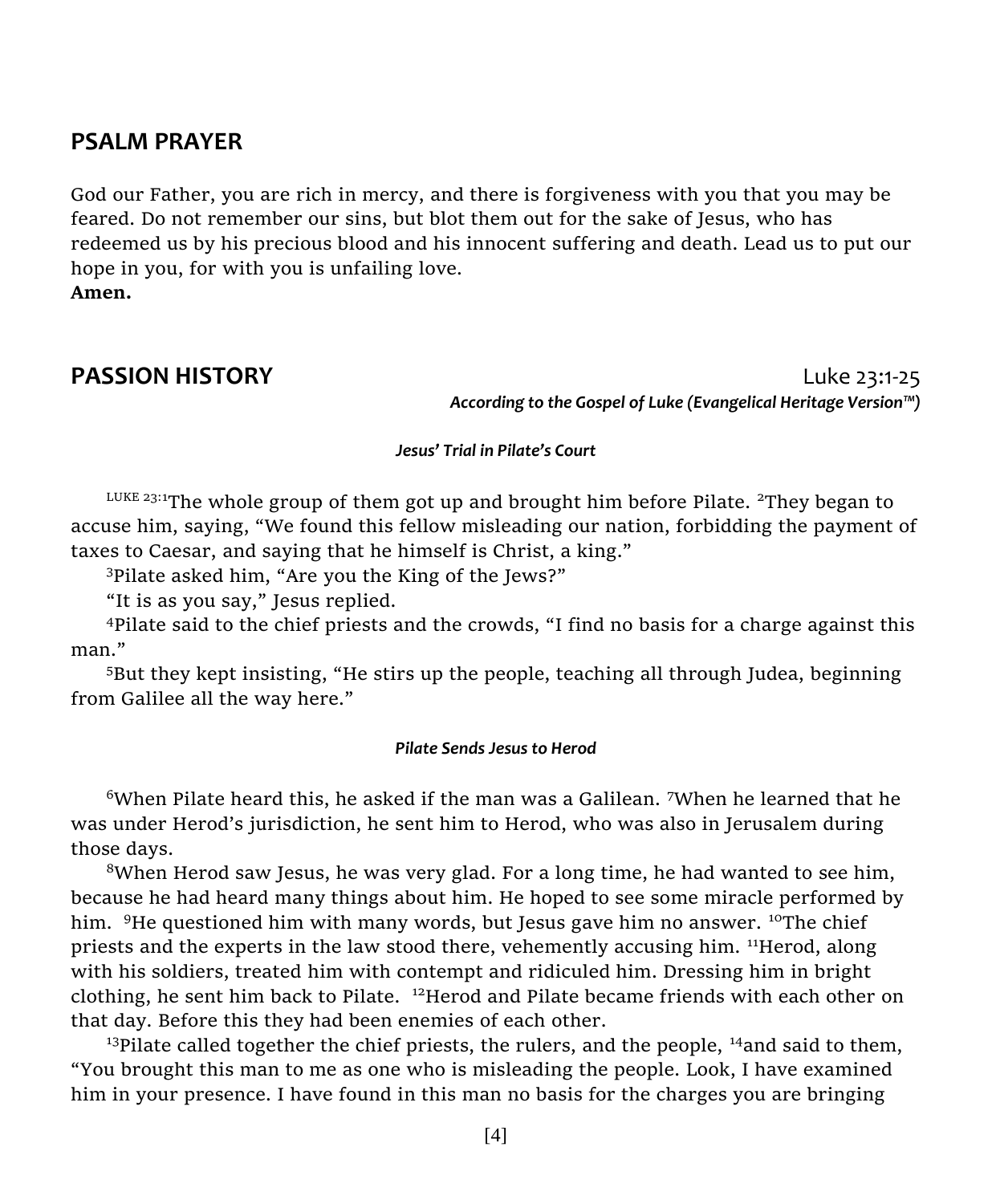#### **PSALM PRAYER**

God our Father, you are rich in mercy, and there is forgiveness with you that you may be feared. Do not remember our sins, but blot them out for the sake of Jesus, who has redeemed us by his precious blood and his innocent suffering and death. Lead us to put our hope in you, for with you is unfailing love. **Amen.**

**PASSION HISTORY Luke 23:1-25** *According to the Gospel of Luke (Evangelical Heritage Version™)*

#### *Jesus' Trial in Pilate's Court*

LUKE 23:1The whole group of them got up and brought him before Pilate. <sup>2</sup>They began to accuse him, saying, "We found this fellow misleading our nation, forbidding the payment of taxes to Caesar, and saying that he himself is Christ, a king."

<sup>3</sup>Pilate asked him, "Are you the King of the Jews?"

"It is as you say," Jesus replied.

<sup>4</sup>Pilate said to the chief priests and the crowds, "I find no basis for a charge against this man."

<sup>5</sup>But they kept insisting, "He stirs up the people, teaching all through Judea, beginning from Galilee all the way here."

#### *Pilate Sends Jesus to Herod*

 $6$ When Pilate heard this, he asked if the man was a Galilean. 7When he learned that he was under Herod's jurisdiction, he sent him to Herod, who was also in Jerusalem during those days.

 $8$ When Herod saw Jesus, he was very glad. For a long time, he had wanted to see him, because he had heard many things about him. He hoped to see some miracle performed by him. <sup>9</sup>He questioned him with many words, but Jesus gave him no answer. <sup>10</sup>The chief priests and the experts in the law stood there, vehemently accusing him. <sup>11</sup>Herod, along with his soldiers, treated him with contempt and ridiculed him. Dressing him in bright clothing, he sent him back to Pilate. <sup>12</sup>Herod and Pilate became friends with each other on that day. Before this they had been enemies of each other.

<sup>13</sup>Pilate called together the chief priests, the rulers, and the people,  $^{14}$ and said to them, "You brought this man to me as one who is misleading the people. Look, I have examined him in your presence. I have found in this man no basis for the charges you are bringing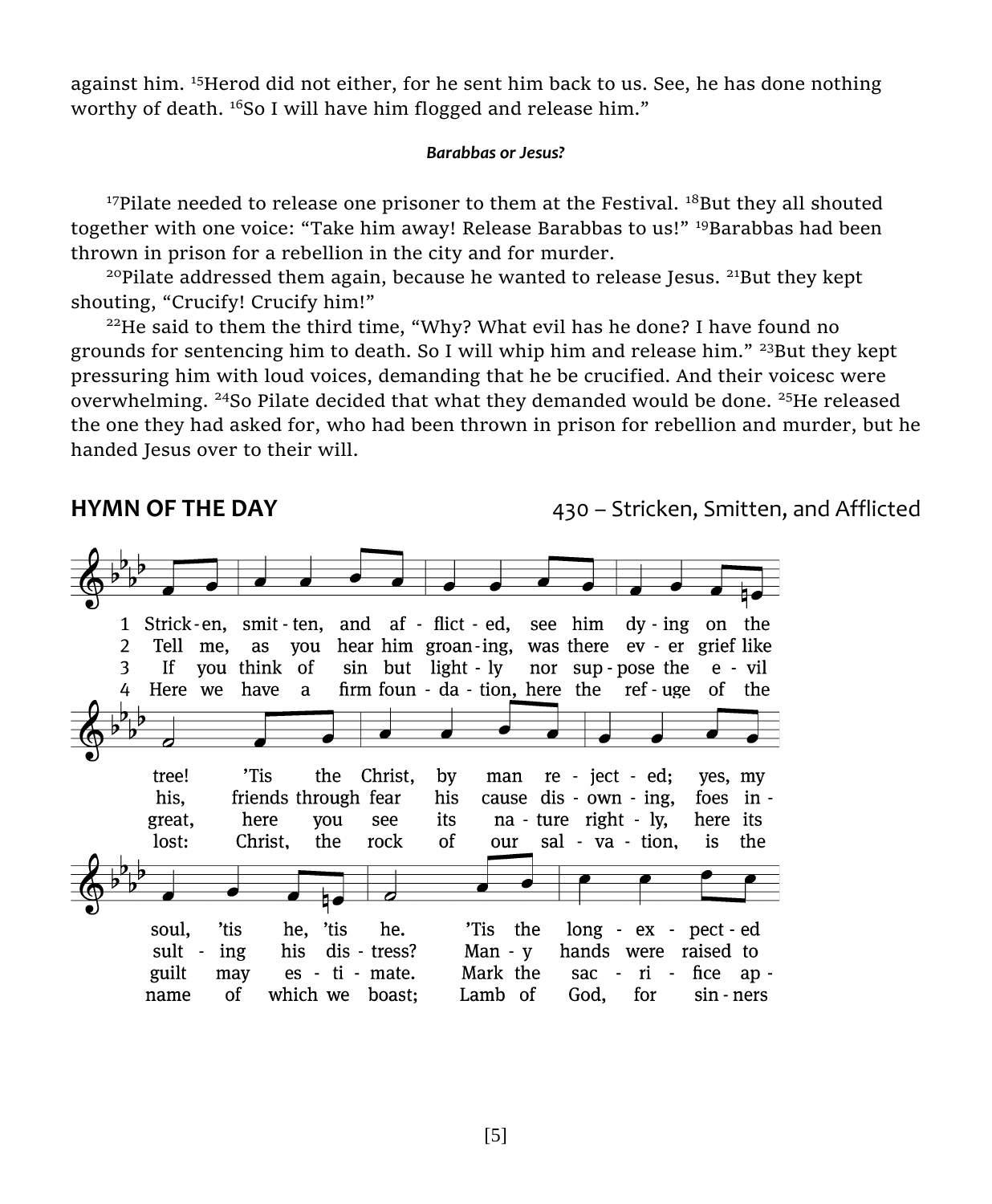against him. <sup>15</sup>Herod did not either, for he sent him back to us. See, he has done nothing worthy of death. <sup>16</sup>So I will have him flogged and release him."

#### *Barabbas or Jesus?*

<sup>17</sup>Pilate needed to release one prisoner to them at the Festival.  $^{18}$ But they all shouted together with one voice: "Take him away! Release Barabbas to us!" <sup>19</sup>Barabbas had been thrown in prison for a rebellion in the city and for murder.

 $20P$  Pilate addressed them again, because he wanted to release Jesus.  $21B$ ut they kept shouting, "Crucify! Crucify him!"

 $22$ He said to them the third time, "Why? What evil has he done? I have found no grounds for sentencing him to death. So I will whip him and release him."  $23$ But they kept pressuring him with loud voices, demanding that he be crucified. And their voicesc were overwhelming. <sup>24</sup>So Pilate decided that what they demanded would be done. <sup>25</sup>He released the one they had asked for, who had been thrown in prison for rebellion and murder, but he handed Jesus over to their will.

**HYMN OF THE DAY 1988 CONSUMIST AND A 430 – Stricken, Smitten, and Afflicted** 

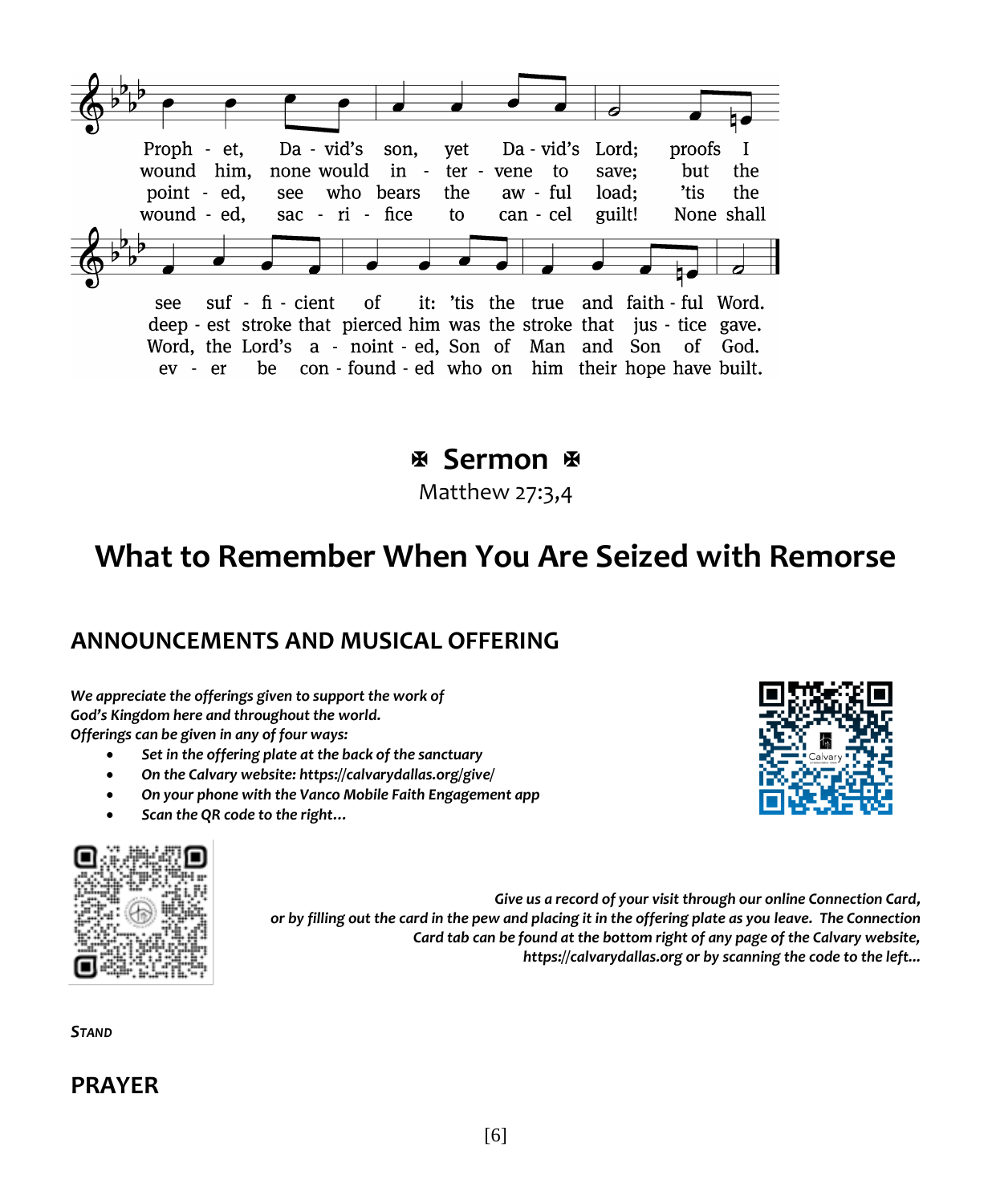

suf - fi - cient of it: 'tis the true and faith - ful Word. see deep - est stroke that pierced him was the stroke that jus - tice gave. Word, the Lord's a - noint - ed, Son of Man and Son of God. ev - er be con - found - ed who on him their hope have built.

 **Sermon** 

Matthew 27:3,4

## **What to Remember When You Are Seized with Remorse**

#### **ANNOUNCEMENTS AND MUSICAL OFFERING**

*We appreciate the offerings given to support the work of God's Kingdom here and throughout the world. Offerings can be given in any of four ways:*

- *Set in the offering plate at the back of the sanctuary*
- *On the Calvary website: https://calvarydallas.org/give/*
- *On your phone with the Vanco Mobile Faith Engagement app*
- *Scan the QR code to the right…*



*Give us a record of your visit through our online Connection Card, or by filling out the card in the pew and placing it in the offering plate as you leave. The Connection Card tab can be found at the bottom right of any page of the Calvary website, https://calvarydallas.org or by scanning the code to the left...*

*STAND*

#### **PRAYER**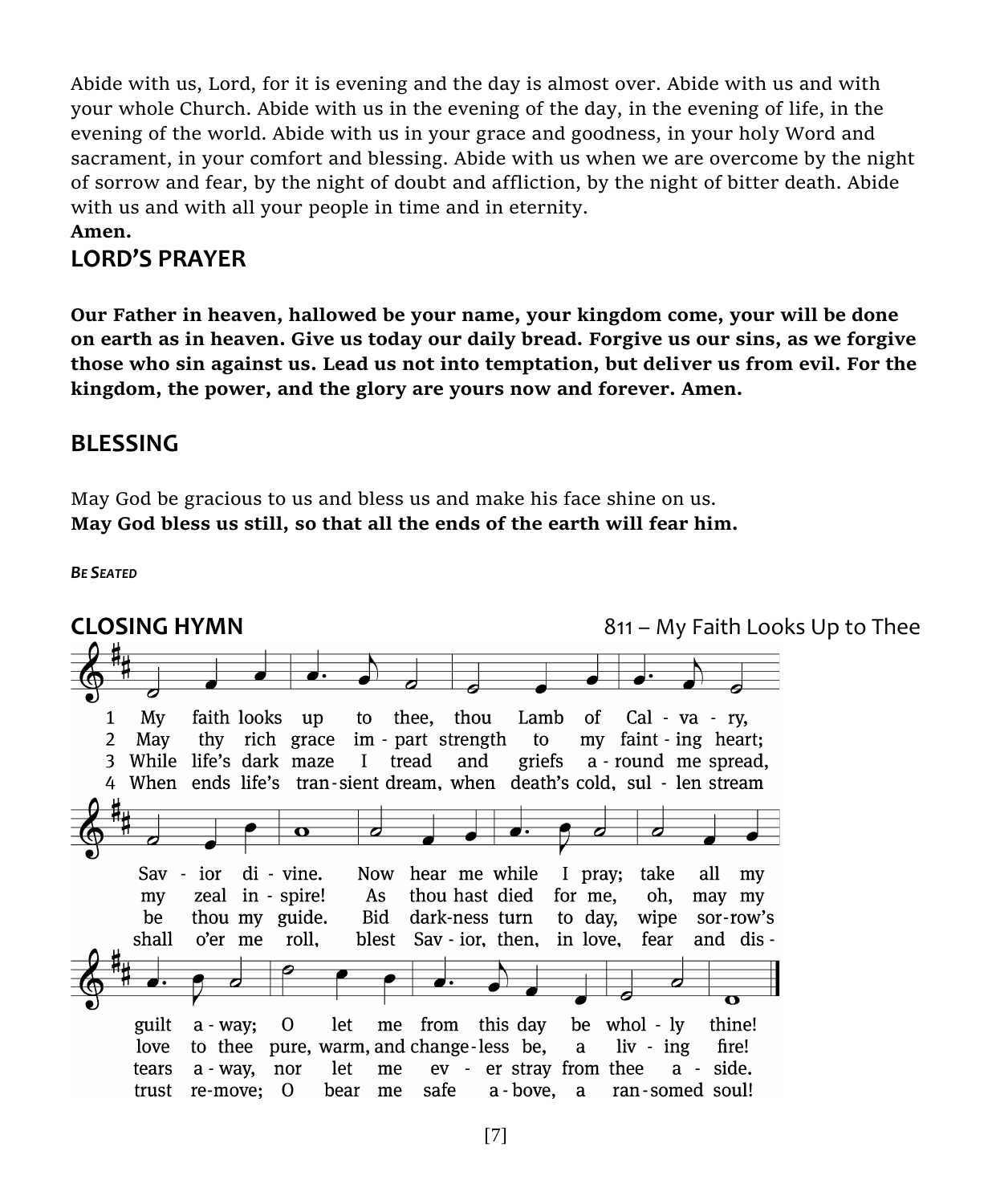Abide with us, Lord, for it is evening and the day is almost over. Abide with us and with your whole Church. Abide with us in the evening of the day, in the evening of life, in the evening of the world. Abide with us in your grace and goodness, in your holy Word and sacrament, in your comfort and blessing. Abide with us when we are overcome by the night of sorrow and fear, by the night of doubt and affliction, by the night of bitter death. Abide with us and with all your people in time and in eternity.

#### **Amen.**

### **LORD'S PRAYER**

**Our Father in heaven, hallowed be your name, your kingdom come, your will be done on earth as in heaven. Give us today our daily bread. Forgive us our sins, as we forgive those who sin against us. Lead us not into temptation, but deliver us from evil. For the kingdom, the power, and the glory are yours now and forever. Amen.**

#### **BLESSING**

May God be gracious to us and bless us and make his face shine on us. **May God bless us still, so that all the ends of the earth will fear him.**

*BE SEATED*